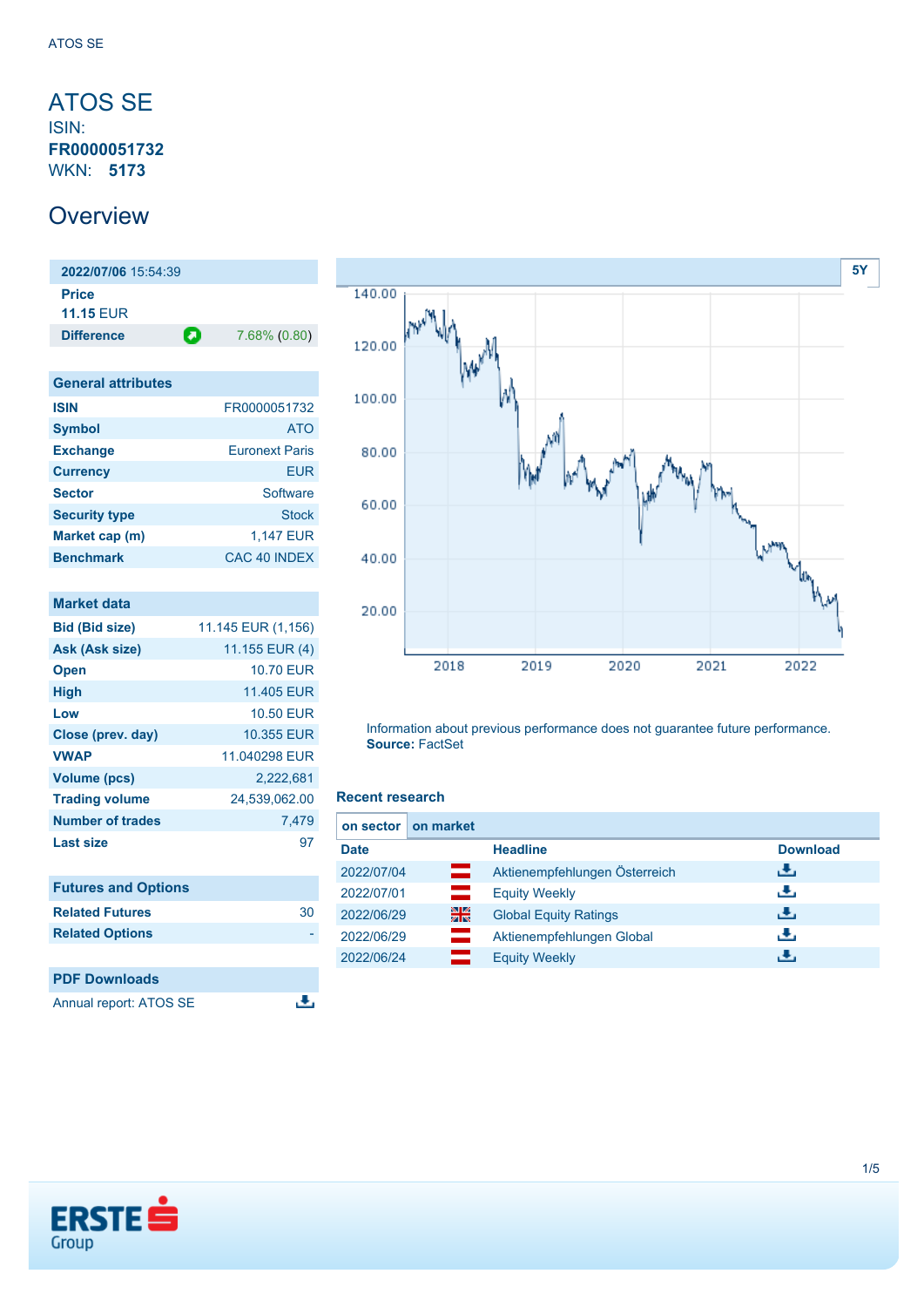### <span id="page-0-0"></span>ATOS SE ISIN: **FR0000051732** WKN: **5173**

### **Overview**

| 2022/07/06 15:54:39              |   |              |
|----------------------------------|---|--------------|
| <b>Price</b><br><b>11.15 FUR</b> |   |              |
| <b>Difference</b>                | Œ | 7.68% (0.80) |

| <b>General attributes</b> |                       |
|---------------------------|-----------------------|
| <b>ISIN</b>               | FR0000051732          |
| <b>Symbol</b>             | <b>ATO</b>            |
| <b>Exchange</b>           | <b>Furonext Paris</b> |
| <b>Currency</b>           | FUR                   |
| <b>Sector</b>             | Software              |
| <b>Security type</b>      | <b>Stock</b>          |
| Market cap (m)            | 1,147 EUR             |
| <b>Benchmark</b>          | CAC 40 INDEX          |

| <b>Market data</b>         |                    |
|----------------------------|--------------------|
| <b>Bid (Bid size)</b>      | 11.145 EUR (1,156) |
| Ask (Ask size)             | 11.155 EUR (4)     |
| <b>Open</b>                | <b>10.70 EUR</b>   |
| <b>High</b>                | 11.405 EUR         |
| Low                        | <b>10.50 EUR</b>   |
| Close (prev. day)          | 10.355 EUR         |
| <b>VWAP</b>                | 11.040298 EUR      |
| <b>Volume (pcs)</b>        | 2,222,681          |
| <b>Trading volume</b>      | 24,539,062.00      |
| Number of trades           | 7,479              |
| Last size                  | 97                 |
|                            |                    |
| <b>Futures and Options</b> |                    |
| <b>Related Futures</b>     | 30                 |
| <b>Related Options</b>     |                    |
|                            |                    |
| <b>PDF Downloads</b>       |                    |





Information about previous performance does not guarantee future performance. **Source:** FactSet

#### **Recent research**

 $\overline{\mathbf{u}}$ 

| on sector   | on market |                               |                 |
|-------------|-----------|-------------------------------|-----------------|
| <b>Date</b> |           | <b>Headline</b>               | <b>Download</b> |
| 2022/07/04  | -         | Aktienempfehlungen Österreich | رالى            |
| 2022/07/01  | $=$       | <b>Equity Weekly</b>          | رنان            |
| 2022/06/29  | 을중        | <b>Global Equity Ratings</b>  | رالى            |
| 2022/06/29  | $\equiv$  | Aktienempfehlungen Global     | راق             |
| 2022/06/24  |           | <b>Equity Weekly</b>          | æ,              |

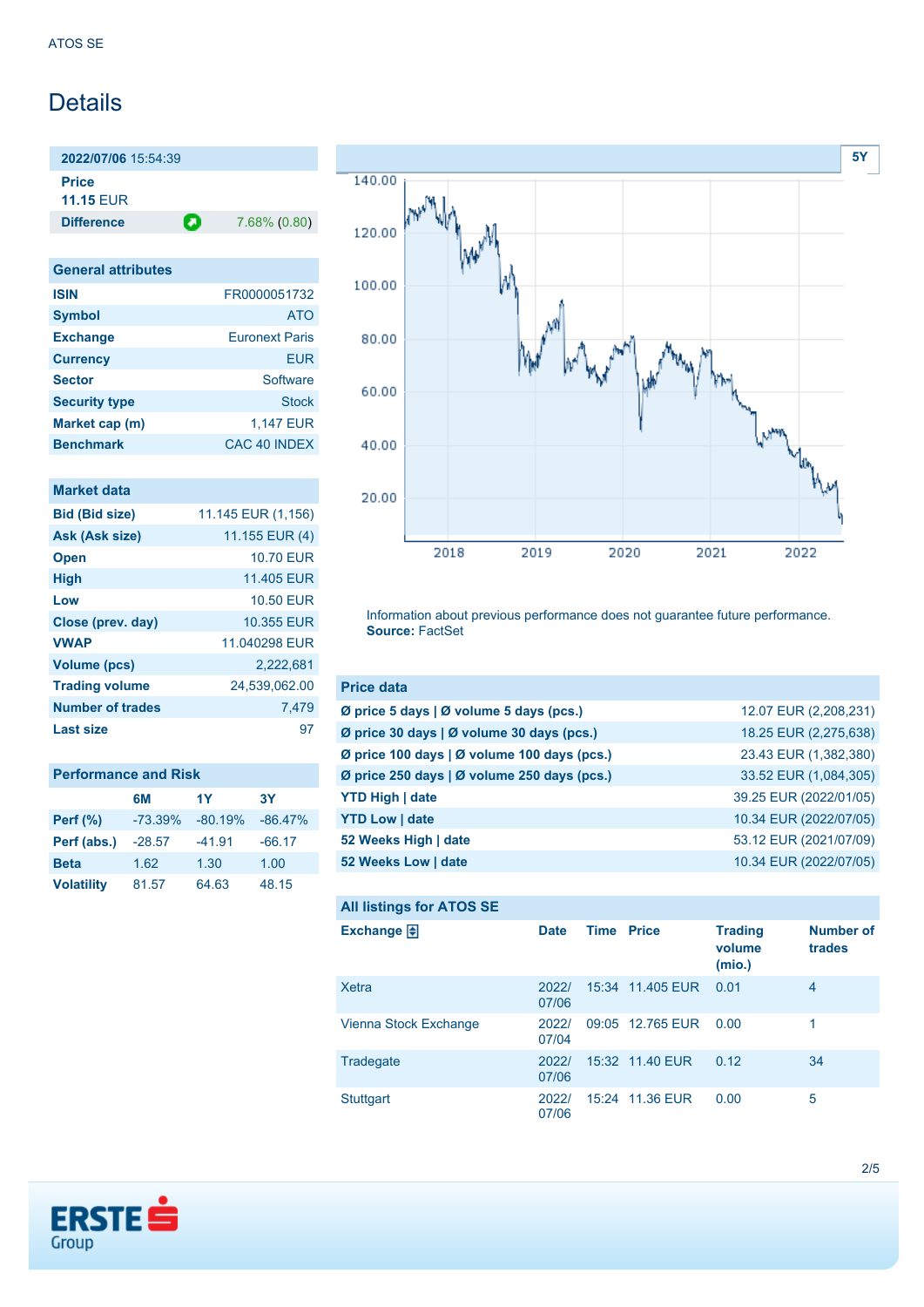# **Details**

**2022/07/06** 15:54:39 **Price 11.15** EUR

**Difference 2** 7.68% (0.80)

| <b>General attributes</b> |                       |
|---------------------------|-----------------------|
| <b>ISIN</b>               | FR0000051732          |
| <b>Symbol</b>             | <b>ATO</b>            |
| <b>Exchange</b>           | <b>Euronext Paris</b> |
| <b>Currency</b>           | EUR                   |
| <b>Sector</b>             | Software              |
| <b>Security type</b>      | Stock                 |
| Market cap (m)            | 1,147 EUR             |
| <b>Benchmark</b>          | CAC 40 INDEX          |

| Market data             |                    |
|-------------------------|--------------------|
| <b>Bid (Bid size)</b>   | 11.145 EUR (1,156) |
| Ask (Ask size)          | 11.155 EUR (4)     |
| <b>Open</b>             | 10.70 FUR          |
| <b>High</b>             | 11.405 FUR         |
| Low                     | <b>10.50 EUR</b>   |
| Close (prev. day)       | 10.355 EUR         |
| <b>VWAP</b>             | 11.040298 EUR      |
| <b>Volume (pcs)</b>     | 2,222,681          |
| <b>Trading volume</b>   | 24,539,062.00      |
| <b>Number of trades</b> | 7.479              |
| Last size               | 97                 |

| <b>Performance and Risk</b> |           |           |           |
|-----------------------------|-----------|-----------|-----------|
|                             | 6M        | 1Y        | 3Υ        |
| <b>Perf</b> (%)             | $-73.39%$ | $-80.19%$ | $-86.47%$ |
| Perf (abs.)                 | $-28.57$  | $-41.91$  | $-66.17$  |
| <b>Beta</b>                 | 1.62      | 1.30      | 1.00      |
| <b>Volatility</b>           | 81.57     | 64.63     | 48.15     |



Information about previous performance does not guarantee future performance. **Source:** FactSet

| <b>Price data</b>                           |                        |
|---------------------------------------------|------------------------|
| Ø price 5 days   Ø volume 5 days (pcs.)     | 12.07 EUR (2,208,231)  |
| Ø price 30 days   Ø volume 30 days (pcs.)   | 18.25 EUR (2,275,638)  |
| Ø price 100 days   Ø volume 100 days (pcs.) | 23.43 EUR (1,382,380)  |
| Ø price 250 days   Ø volume 250 days (pcs.) | 33.52 EUR (1,084,305)  |
| <b>YTD High   date</b>                      | 39.25 EUR (2022/01/05) |
| <b>YTD Low   date</b>                       | 10.34 EUR (2022/07/05) |
| 52 Weeks High   date                        | 53.12 EUR (2021/07/09) |
| 52 Weeks Low   date                         | 10.34 EUR (2022/07/05) |

#### **All listings for ATOS SE**

| . .                   |                |                   |                  |                                    |                            |
|-----------------------|----------------|-------------------|------------------|------------------------------------|----------------------------|
| Exchange $\bigoplus$  | <b>Date</b>    | <b>Time Price</b> |                  | <b>Trading</b><br>volume<br>(mio.) | <b>Number of</b><br>trades |
| Xetra                 | 2022/<br>07/06 |                   | 15:34 11.405 EUR | 0.01                               | 4                          |
| Vienna Stock Exchange | 2022/<br>07/04 |                   | 09:05 12.765 EUR | 0.00                               | 1                          |
| Tradegate             | 2022/<br>07/06 |                   | 15:32 11.40 EUR  | 0.12                               | 34                         |
| <b>Stuttgart</b>      | 2022/<br>07/06 |                   | 15:24 11.36 EUR  | 0.00                               | 5                          |

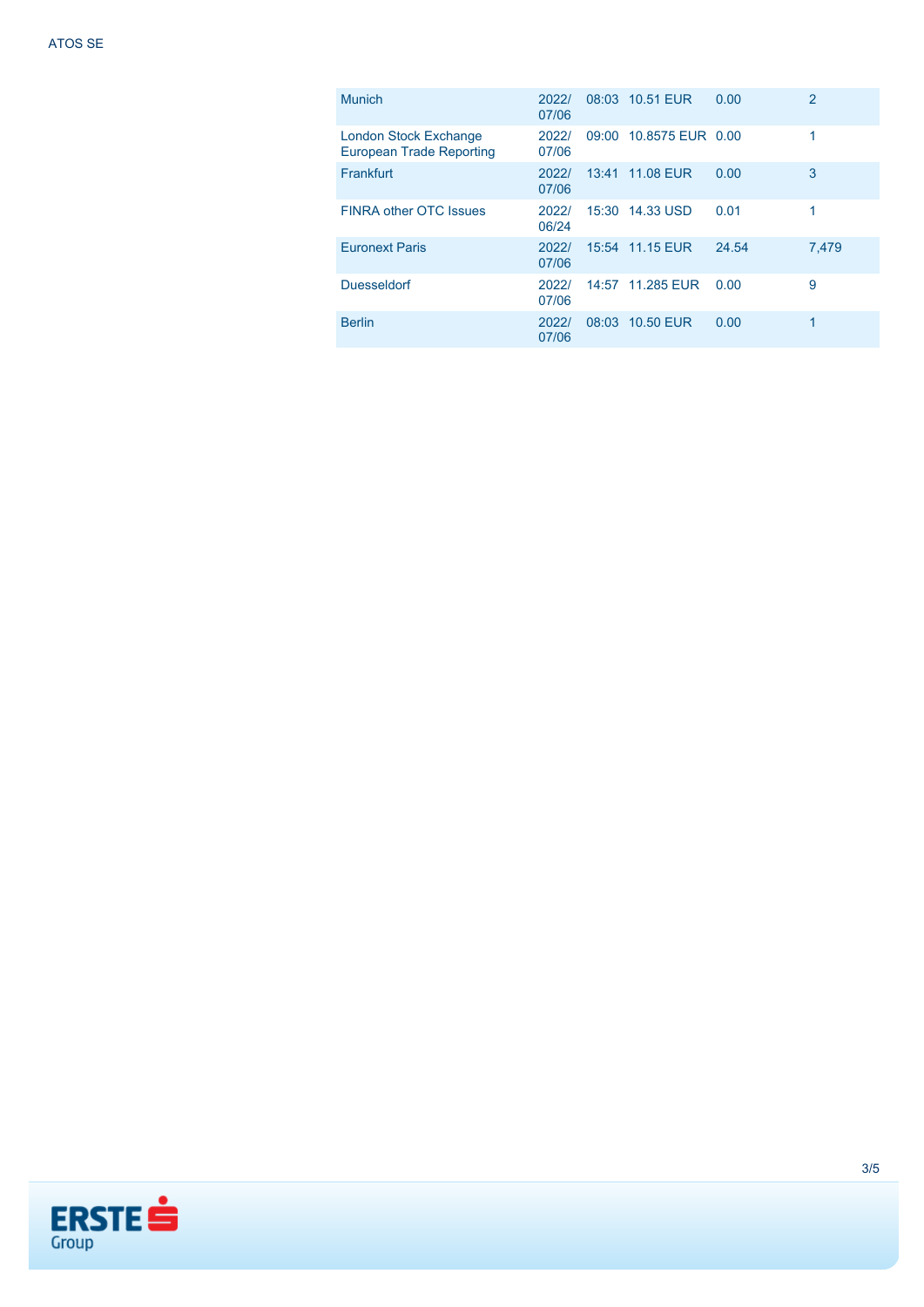| <b>Munich</b>                                                   | 2022/<br>07/06 | 08:03 10.51 EUR        | 0.00  | 2     |
|-----------------------------------------------------------------|----------------|------------------------|-------|-------|
| <b>London Stock Exchange</b><br><b>European Trade Reporting</b> | 2022/<br>07/06 | 09:00 10.8575 EUR 0.00 |       | 1     |
| Frankfurt                                                       | 2022/<br>07/06 | 13:41 11.08 EUR        | 0.00  | 3     |
| <b>FINRA other OTC Issues</b>                                   | 2022/<br>06/24 | 15:30 14.33 USD        | 0.01  |       |
| <b>Euronext Paris</b>                                           | 2022/<br>07/06 | 15:54 11.15 EUR        | 24.54 | 7.479 |
| <b>Duesseldorf</b>                                              | 2022/<br>07/06 | 14:57 11.285 EUR       | 0.00  | 9     |
| <b>Berlin</b>                                                   | 2022/<br>07/06 | 08:03 10.50 EUR        | 0.00  | 1     |

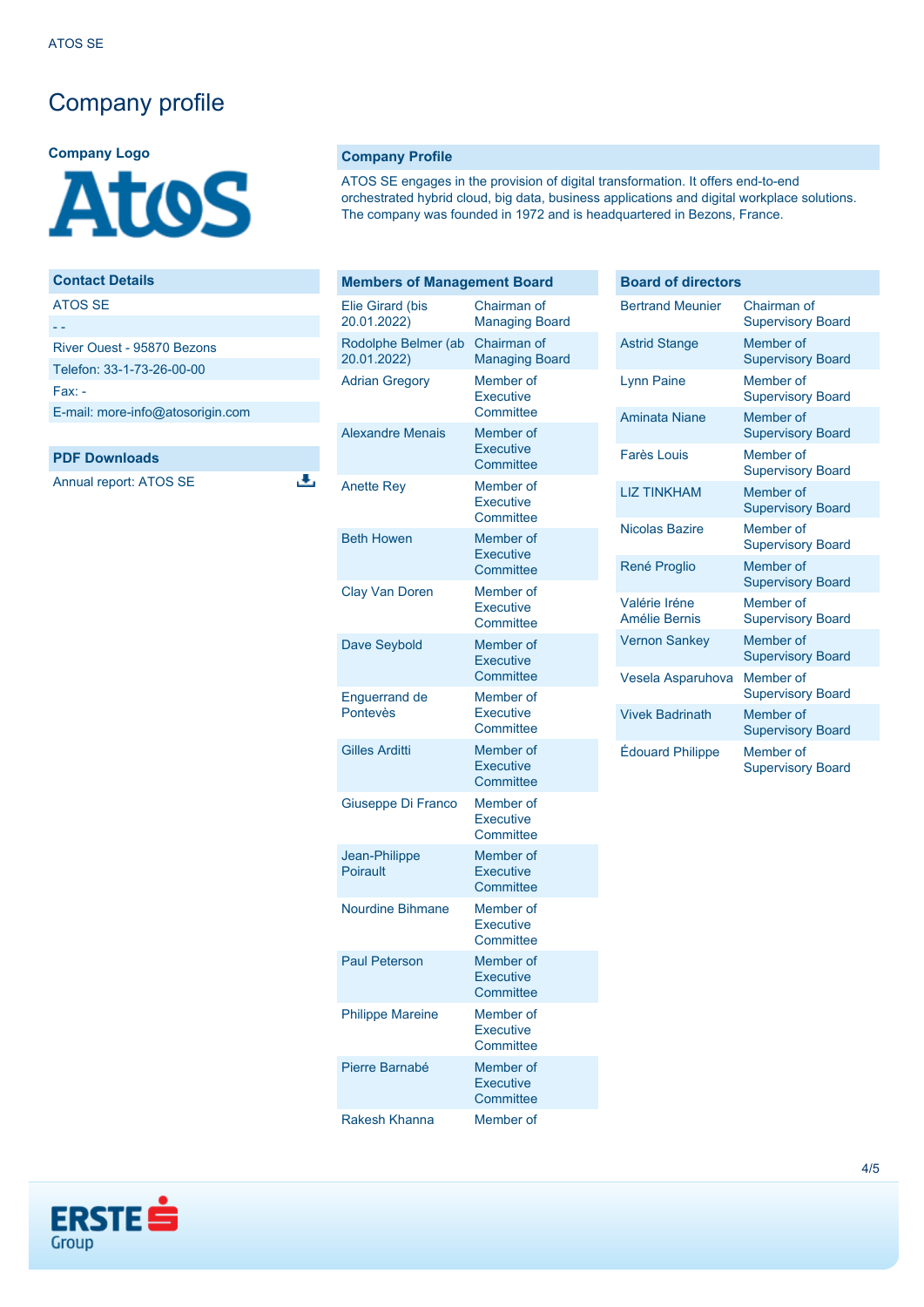## Company profile

**Company Logo**



#### **Contact Details**

ATOS SE - - River Ouest - 95870 Bezons Telefon: 33-1-73-26-00-00 Fax: - [E-mail: more-info@atosorigin.com](mailto:more-info@atosorigin.com)

**PDF Downloads**

Annual report: ATOS SE

#### **Company Profile**

J.

ATOS SE engages in the provision of digital transformation. It offers end-to-end orchestrated hybrid cloud, big data, business applications and digital workplace solutions. The company was founded in 1972 and is headquartered in Bezons, France.

| <b>Members of Management Board</b>      |                                            |  |  |
|-----------------------------------------|--------------------------------------------|--|--|
| <b>Elie Girard (bis</b><br>20.01.2022)  | Chairman of<br><b>Managing Board</b>       |  |  |
| Rodolphe Belmer (ab<br>20.01.2022)      | Chairman of<br><b>Managing Board</b>       |  |  |
| <b>Adrian Gregory</b>                   | Member of<br><b>Executive</b><br>Committee |  |  |
| <b>Alexandre Menais</b>                 | Member of<br><b>Executive</b><br>Committee |  |  |
| <b>Anette Rey</b>                       | Member of<br><b>Executive</b><br>Committee |  |  |
| <b>Beth Howen</b>                       | Member of<br><b>Executive</b><br>Committee |  |  |
| <b>Clay Van Doren</b>                   | Member of<br><b>Executive</b><br>Committee |  |  |
| <b>Dave Seybold</b>                     | Member of<br><b>Executive</b><br>Committee |  |  |
| <b>Enguerrand de</b><br><b>Pontevès</b> | Member of<br><b>Executive</b><br>Committee |  |  |
| <b>Gilles Arditti</b>                   | Member of<br><b>Executive</b><br>Committee |  |  |
| Giuseppe Di Franco                      | Member of<br><b>Executive</b><br>Committee |  |  |
| Jean-Philippe<br>Poirault               | Member of<br><b>Executive</b><br>Committee |  |  |
| <b>Nourdine Bihmane</b>                 | Member of<br><b>Executive</b><br>Committee |  |  |
| <b>Paul Peterson</b>                    | Member of<br><b>Executive</b><br>Committee |  |  |
| <b>Philippe Mareine</b>                 | Member of<br><b>Executive</b><br>Committee |  |  |
| Pierre Barnabé                          | Member of<br><b>Executive</b><br>Committee |  |  |
| Rakesh Khanna                           | Member of                                  |  |  |

| <b>Board of directors</b>      |                                         |  |  |
|--------------------------------|-----------------------------------------|--|--|
| <b>Bertrand Meunier</b>        | Chairman of<br><b>Supervisory Board</b> |  |  |
| <b>Astrid Stange</b>           | Member of<br><b>Supervisory Board</b>   |  |  |
| <b>Lynn Paine</b>              | Member of<br><b>Supervisory Board</b>   |  |  |
| <b>Aminata Niane</b>           | Member of<br><b>Supervisory Board</b>   |  |  |
| <b>Farès Louis</b>             | Member of<br><b>Supervisory Board</b>   |  |  |
| <b>I IZ TINKHAM</b>            | Member of<br><b>Supervisory Board</b>   |  |  |
| Nicolas Bazire                 | Member of<br><b>Supervisory Board</b>   |  |  |
| René Proglio                   | Member of<br><b>Supervisory Board</b>   |  |  |
| Valérie Iréne<br>Amélie Bernis | Member of<br><b>Supervisory Board</b>   |  |  |
| <b>Vernon Sankey</b>           | Member of<br><b>Supervisory Board</b>   |  |  |
| Vesela Asparuhova              | Member of<br><b>Supervisory Board</b>   |  |  |
| <b>Vivek Badrinath</b>         | Member of<br><b>Supervisory Board</b>   |  |  |
| <b>Édouard Philippe</b>        | Member of<br><b>Supervisory Board</b>   |  |  |